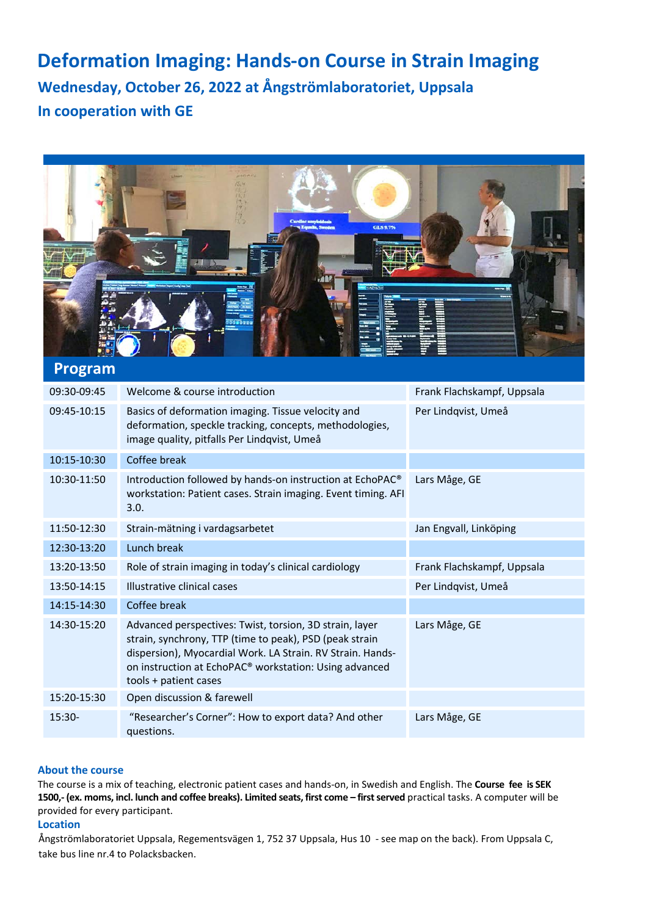# **Deformation Imaging: Hands-on Course in Strain Imaging Wednesday, October 26, 2022 at Ångströmlaboratoriet, Uppsala In cooperation with GE**



# **Program**

| 09:30-09:45 | Welcome & course introduction                                                                                                                                                                                                                                                   | Frank Flachskampf, Uppsala |
|-------------|---------------------------------------------------------------------------------------------------------------------------------------------------------------------------------------------------------------------------------------------------------------------------------|----------------------------|
| 09:45-10:15 | Basics of deformation imaging. Tissue velocity and<br>deformation, speckle tracking, concepts, methodologies,<br>image quality, pitfalls Per Lindqvist, Umeå                                                                                                                    | Per Lindqvist, Umeå        |
| 10:15-10:30 | Coffee break                                                                                                                                                                                                                                                                    |                            |
| 10:30-11:50 | Introduction followed by hands-on instruction at EchoPAC <sup>®</sup><br>workstation: Patient cases. Strain imaging. Event timing. AFI<br>3.0.                                                                                                                                  | Lars Måge, GE              |
| 11:50-12:30 | Strain-mätning i vardagsarbetet                                                                                                                                                                                                                                                 | Jan Engvall, Linköping     |
| 12:30-13:20 | Lunch break                                                                                                                                                                                                                                                                     |                            |
| 13:20-13:50 | Role of strain imaging in today's clinical cardiology                                                                                                                                                                                                                           | Frank Flachskampf, Uppsala |
| 13:50-14:15 | Illustrative clinical cases                                                                                                                                                                                                                                                     | Per Lindqvist, Umeå        |
| 14:15-14:30 | Coffee break                                                                                                                                                                                                                                                                    |                            |
| 14:30-15:20 | Advanced perspectives: Twist, torsion, 3D strain, layer<br>strain, synchrony, TTP (time to peak), PSD (peak strain<br>dispersion), Myocardial Work. LA Strain. RV Strain. Hands-<br>on instruction at EchoPAC <sup>®</sup> workstation: Using advanced<br>tools + patient cases | Lars Måge, GE              |
| 15:20-15:30 | Open discussion & farewell                                                                                                                                                                                                                                                      |                            |
| $15:30-$    | "Researcher's Corner": How to export data? And other<br>questions.                                                                                                                                                                                                              | Lars Måge, GE              |

## **About the course**

The course is a mix of teaching, electronic patient cases and hands-on, in Swedish and English. The **Course fee is SEK 1500,- (ex. moms, incl. lunch and coffee breaks). Limited seats, first come – first served** practical tasks. A computer will be provided for every participant.

#### **Location**

Ångströmlaboratoriet Uppsala, Regementsvägen 1, 752 37 Uppsala, Hus 10 - see map on the back). From Uppsala C, take bus line nr.4 to Polacksbacken.